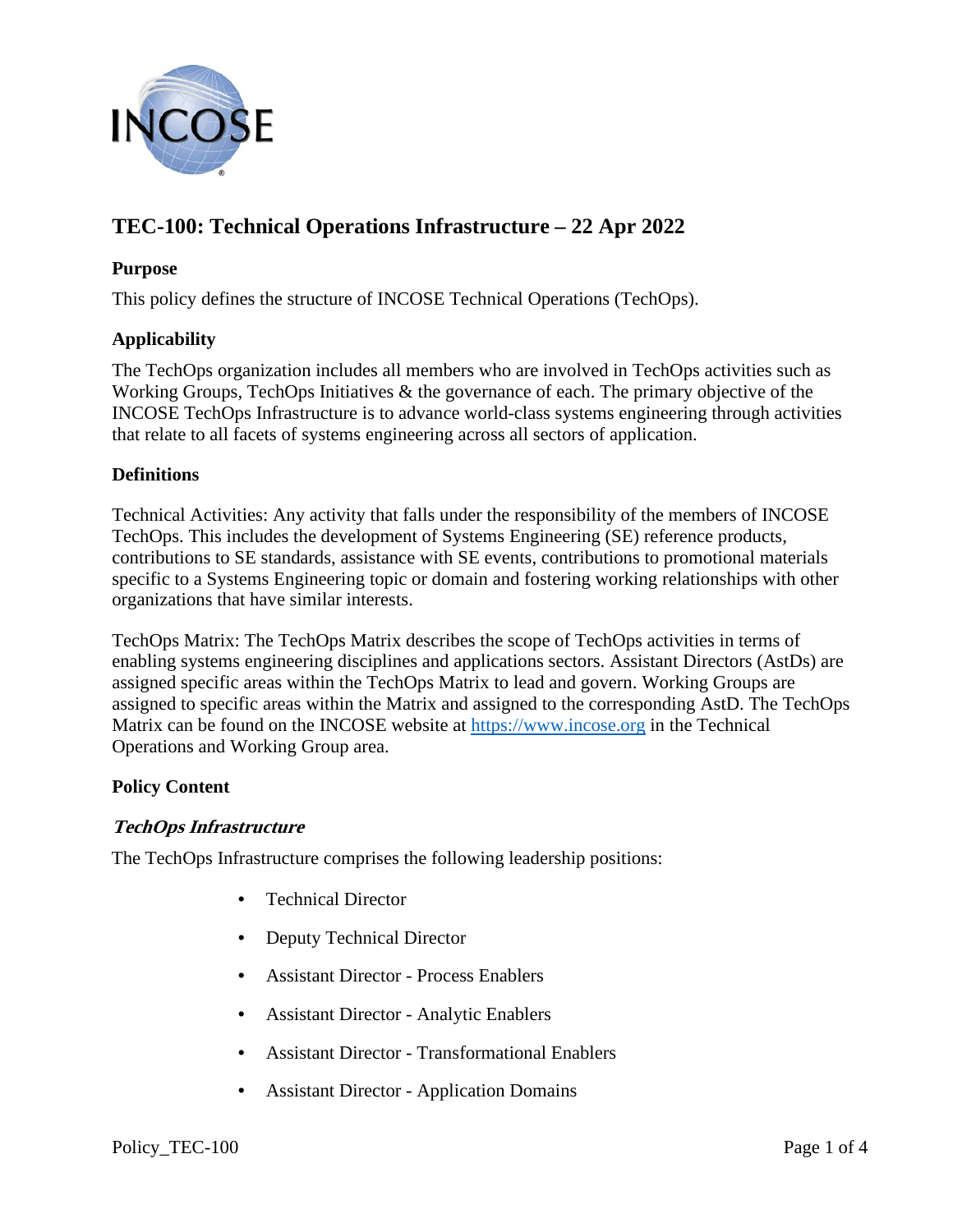

# **TEC-100: Technical Operations Infrastructure – 22 Apr 2022**

#### **Purpose**

This policy defines the structure of INCOSE Technical Operations (TechOps).

### **Applicability**

The TechOps organization includes all members who are involved in TechOps activities such as Working Groups, TechOps Initiatives & the governance of each. The primary objective of the INCOSE TechOps Infrastructure is to advance world-class systems engineering through activities that relate to all facets of systems engineering across all sectors of application.

#### **Definitions**

Technical Activities: Any activity that falls under the responsibility of the members of INCOSE TechOps. This includes the development of Systems Engineering (SE) reference products, contributions to SE standards, assistance with SE events, contributions to promotional materials specific to a Systems Engineering topic or domain and fostering working relationships with other organizations that have similar interests.

TechOps Matrix: The TechOps Matrix describes the scope of TechOps activities in terms of enabling systems engineering disciplines and applications sectors. Assistant Directors (AstDs) are assigned specific areas within the TechOps Matrix to lead and govern. Working Groups are assigned to specific areas within the Matrix and assigned to the corresponding AstD. The TechOps Matrix can be found on the INCOSE website at [https://www.incose.org](https://www.incose.org/) in the Technical Operations and Working Group area.

#### **Policy Content**

#### **TechOps Infrastructure**

The TechOps Infrastructure comprises the following leadership positions:

- Technical Director
- Deputy Technical Director
- Assistant Director Process Enablers
- Assistant Director Analytic Enablers
- Assistant Director Transformational Enablers
- Assistant Director Application Domains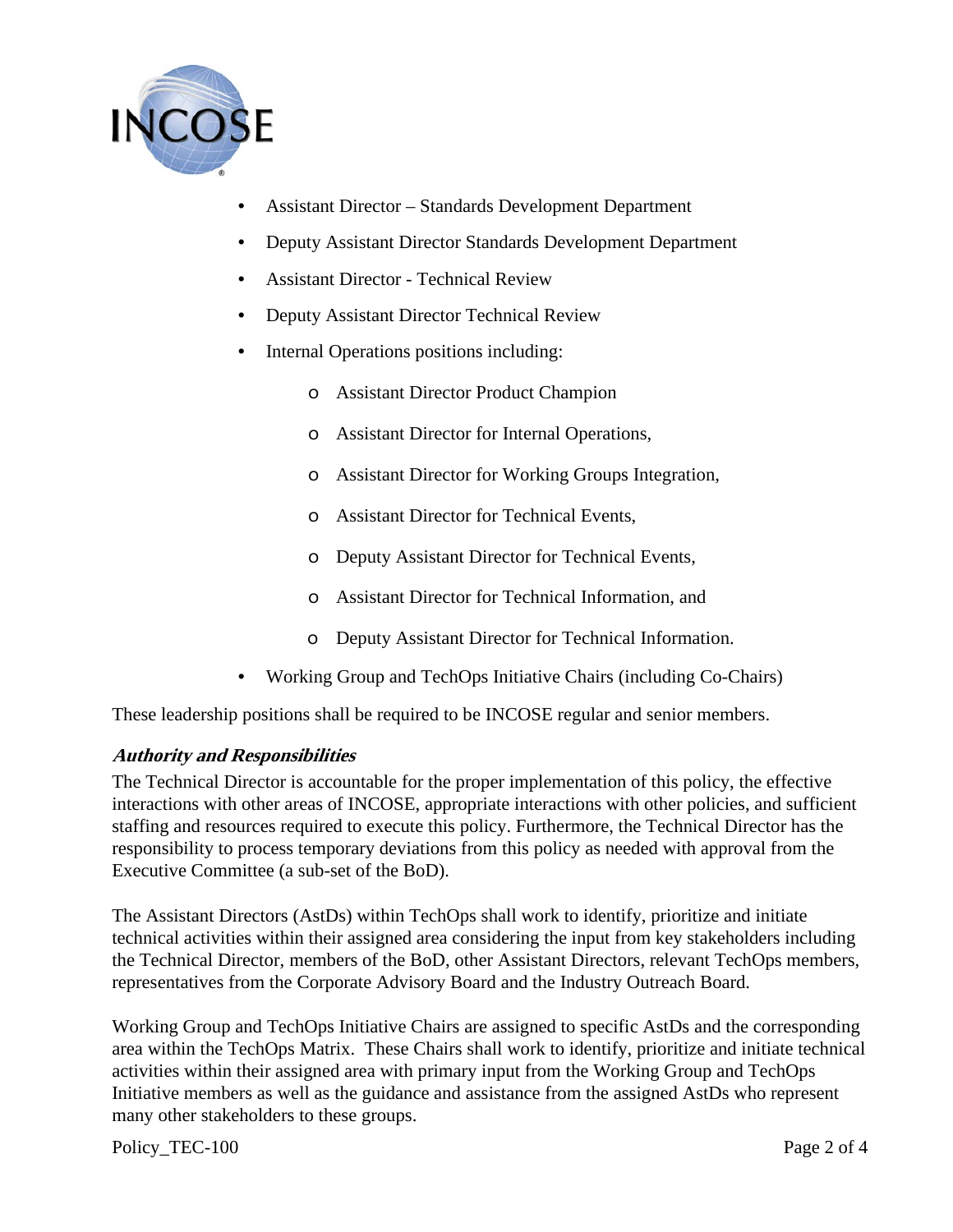

- Assistant Director Standards Development Department
- Deputy Assistant Director Standards Development Department
- Assistant Director Technical Review
- Deputy Assistant Director Technical Review
- Internal Operations positions including:
	- o Assistant Director Product Champion
	- o Assistant Director for Internal Operations,
	- o Assistant Director for Working Groups Integration,
	- o Assistant Director for Technical Events,
	- o Deputy Assistant Director for Technical Events,
	- o Assistant Director for Technical Information, and
	- o Deputy Assistant Director for Technical Information.
- Working Group and TechOps Initiative Chairs (including Co-Chairs)

These leadership positions shall be required to be INCOSE regular and senior members.

## **Authority and Responsibilities**

The Technical Director is accountable for the proper implementation of this policy, the effective interactions with other areas of INCOSE, appropriate interactions with other policies, and sufficient staffing and resources required to execute this policy. Furthermore, the Technical Director has the responsibility to process temporary deviations from this policy as needed with approval from the Executive Committee (a sub-set of the BoD).

The Assistant Directors (AstDs) within TechOps shall work to identify, prioritize and initiate technical activities within their assigned area considering the input from key stakeholders including the Technical Director, members of the BoD, other Assistant Directors, relevant TechOps members, representatives from the Corporate Advisory Board and the Industry Outreach Board.

Working Group and TechOps Initiative Chairs are assigned to specific AstDs and the corresponding area within the TechOps Matrix. These Chairs shall work to identify, prioritize and initiate technical activities within their assigned area with primary input from the Working Group and TechOps Initiative members as well as the guidance and assistance from the assigned AstDs who represent many other stakeholders to these groups.

Policy\_TEC-100 Page 2 of 4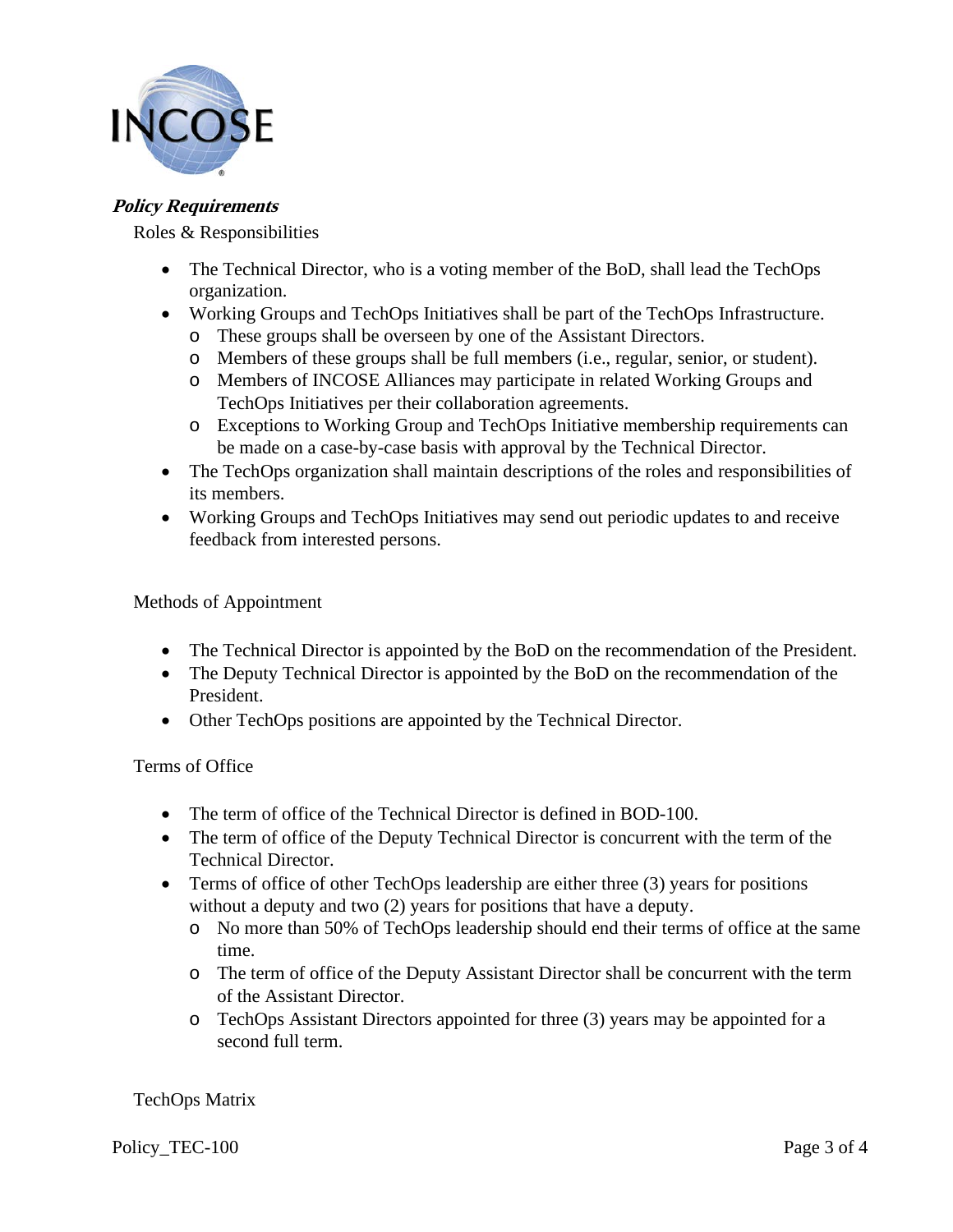

## **Policy Requirements**

Roles & Responsibilities

- The Technical Director, who is a voting member of the BoD, shall lead the TechOps organization.
- Working Groups and TechOps Initiatives shall be part of the TechOps Infrastructure.
	- o These groups shall be overseen by one of the Assistant Directors.
	- o Members of these groups shall be full members (i.e., regular, senior, or student).
	- o Members of INCOSE Alliances may participate in related Working Groups and TechOps Initiatives per their collaboration agreements.
	- o Exceptions to Working Group and TechOps Initiative membership requirements can be made on a case-by-case basis with approval by the Technical Director.
- The TechOps organization shall maintain descriptions of the roles and responsibilities of its members.
- Working Groups and TechOps Initiatives may send out periodic updates to and receive feedback from interested persons.

Methods of Appointment

- The Technical Director is appointed by the BoD on the recommendation of the President.
- The Deputy Technical Director is appointed by the BoD on the recommendation of the President.
- Other TechOps positions are appointed by the Technical Director.

Terms of Office

- The term of office of the Technical Director is defined in BOD-100.
- The term of office of the Deputy Technical Director is concurrent with the term of the Technical Director.
- Terms of office of other TechOps leadership are either three (3) years for positions without a deputy and two (2) years for positions that have a deputy.
	- o No more than 50% of TechOps leadership should end their terms of office at the same time.
	- o The term of office of the Deputy Assistant Director shall be concurrent with the term of the Assistant Director.
	- o TechOps Assistant Directors appointed for three (3) years may be appointed for a second full term.

TechOps Matrix

Policy\_TEC-100 Page 3 of 4